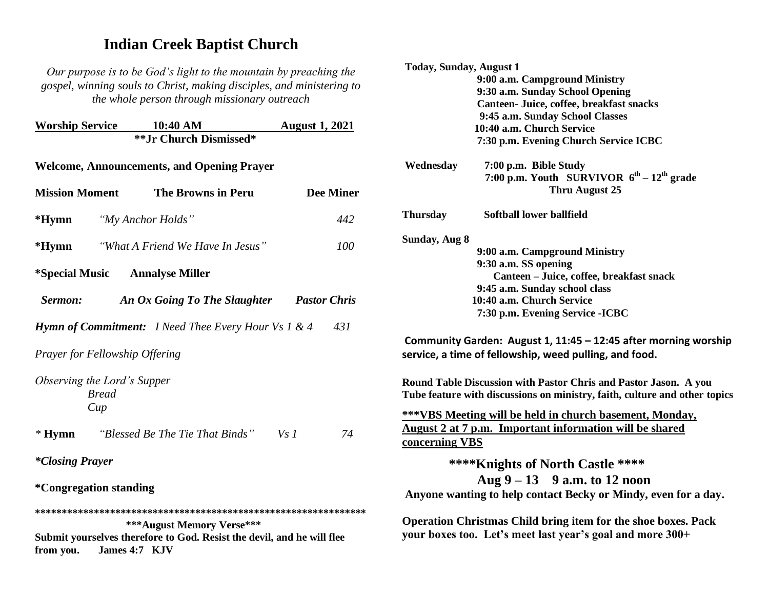# **Indian Creek Baptist Church**

*Our purpose is to be God's light to the mountain by preaching the gospel, winning souls to Christ, making disciples, and ministering to the whole person through missionary outreach*

|                                                                   | <b>Worship Service 10:40 AM</b><br>**Jr Church Dismissed*                                                                       | <b>August 1, 2021</b> |  |
|-------------------------------------------------------------------|---------------------------------------------------------------------------------------------------------------------------------|-----------------------|--|
| <b>Welcome, Announcements, and Opening Prayer</b>                 |                                                                                                                                 |                       |  |
| <b>Mission Moment</b>                                             | <b>The Browns in Peru</b>                                                                                                       | <b>Dee Miner</b>      |  |
| *Hymn                                                             | "My Anchor Holds"                                                                                                               | 442                   |  |
| $*Hymn$                                                           | "What A Friend We Have In Jesus"                                                                                                | <i>100</i>            |  |
| <i>*Special Music</i> Annalyse Miller                             |                                                                                                                                 |                       |  |
| Sermon:                                                           | An Ox Going To The Slaughter                                                                                                    | <b>Pastor Chris</b>   |  |
| <b>Hymn of Commitment:</b> I Need Thee Every Hour Vs 1 & 4<br>431 |                                                                                                                                 |                       |  |
| <b>Prayer for Fellowship Offering</b>                             |                                                                                                                                 |                       |  |
| Observing the Lord's Supper<br><b>Bread</b><br>Cup                |                                                                                                                                 |                       |  |
|                                                                   | * Hymn "Blessed Be The Tie That Binds"                                                                                          | Vs1<br>74             |  |
| <i>*Closing Prayer</i>                                            |                                                                                                                                 |                       |  |
| <i>*</i> Congregation standing                                    |                                                                                                                                 |                       |  |
| from you.                                                         | *** August Memory Verse***<br>Submit yourselves therefore to God. Resist the devil, and he will flee<br><b>James 4:7</b><br>KJV |                       |  |

| <b>Today, Sunday, August 1</b> |                                                                                                                                                |
|--------------------------------|------------------------------------------------------------------------------------------------------------------------------------------------|
|                                | 9:00 a.m. Campground Ministry                                                                                                                  |
|                                | 9:30 a.m. Sunday School Opening                                                                                                                |
|                                | Canteen- Juice, coffee, breakfast snacks                                                                                                       |
|                                | 9:45 a.m. Sunday School Classes                                                                                                                |
|                                | 10:40 a.m. Church Service                                                                                                                      |
|                                | 7:30 p.m. Evening Church Service ICBC                                                                                                          |
| Wednesday                      | 7:00 p.m. Bible Study                                                                                                                          |
|                                | 7:00 p.m. Youth SURVIVOR $6^{th} - 12^{th}$ grade<br>Thru August 25                                                                            |
| <b>Thursday</b>                | Softball lower ballfield                                                                                                                       |
| Sunday, Aug 8                  |                                                                                                                                                |
|                                | 9:00 a.m. Campground Ministry                                                                                                                  |
|                                | 9:30 a.m. SS opening                                                                                                                           |
|                                | Canteen - Juice, coffee, breakfast snack                                                                                                       |
|                                | 9:45 a.m. Sunday school class                                                                                                                  |
|                                | 10:40 a.m. Church Service                                                                                                                      |
|                                | 7:30 p.m. Evening Service - ICBC                                                                                                               |
|                                | Community Garden: August 1, 11:45 - 12:45 after morning worship<br>service, a time of fellowship, weed pulling, and food.                      |
|                                | Round Table Discussion with Pastor Chris and Pastor Jason. A you<br>Tube feature with discussions on ministry, faith, culture and other topics |
|                                | <b>***VBS Meeting will be held in church basement, Monday,</b>                                                                                 |
|                                | August 2 at 7 p.m. Important information will be shared                                                                                        |
| concerning VBS                 |                                                                                                                                                |
|                                | **** Knights of North Castle ****                                                                                                              |
|                                | Aug $9 - 13$ 9 a.m. to 12 noon                                                                                                                 |
|                                | Anyone wanting to help contact Becky or Mindy, even for a day.                                                                                 |
|                                |                                                                                                                                                |

**Operation Christmas Child bring item for the shoe boxes. Pack your boxes too. Let's meet last year's goal and more 300+**